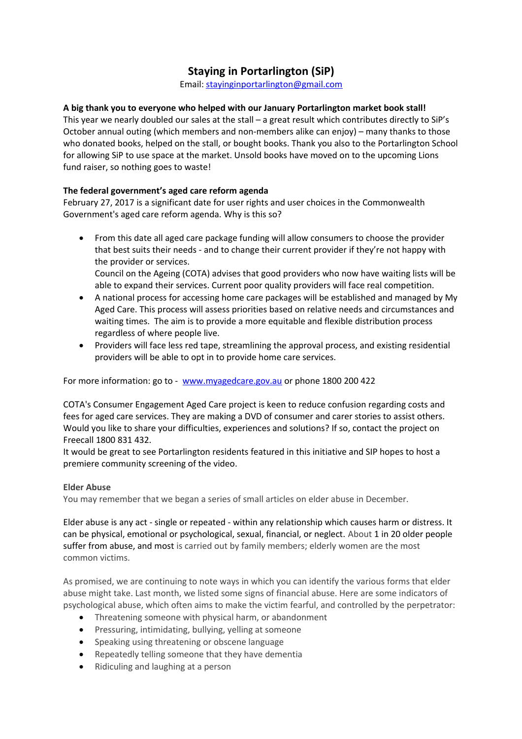## **Staying in Portarlington (SiP)**

Email: [stayinginportarlington@gmail.com](mailto:stayinginportarlington@gmail.com)

## **A big thank you to everyone who helped with our January Portarlington market book stall!**

This year we nearly doubled our sales at the stall – a great result which contributes directly to SiP's October annual outing (which members and non-members alike can enjoy) – many thanks to those who donated books, helped on the stall, or bought books. Thank you also to the Portarlington School for allowing SiP to use space at the market. Unsold books have moved on to the upcoming Lions fund raiser, so nothing goes to waste!

## **The federal government's aged care reform agenda**

February 27, 2017 is a significant date for user rights and user choices in the Commonwealth Government's aged care reform agenda. Why is this so?

- From this date all aged care package funding will allow consumers to choose the provider that best suits their needs - and to change their current provider if they're not happy with the provider or services. Council on the Ageing (COTA) advises that good providers who now have waiting lists will be
- able to expand their services. Current poor quality providers will face real competition. A national process for accessing home care packages will be established and managed by My Aged Care. This process will assess priorities based on relative needs and circumstances and waiting times. The aim is to provide a more equitable and flexible distribution process regardless of where people live.
- Providers will face less red tape, streamlining the approval process, and existing residential providers will be able to opt in to provide home care services.

For more information: go to - [www.myagedcare.gov.au](http://www.myagedcare.gov.au/) or phone 1800 200 422

COTA's Consumer Engagement Aged Care project is keen to reduce confusion regarding costs and fees for aged care services. They are making a DVD of consumer and carer stories to assist others. Would you like to share your difficulties, experiences and solutions? If so, contact the project on Freecall 1800 831 432.

It would be great to see Portarlington residents featured in this initiative and SIP hopes to host a premiere community screening of the video.

## **Elder Abuse**

You may remember that we began a series of small articles on elder abuse in December.

Elder abuse is any act - single or repeated - within any relationship which causes harm or distress. It can be physical, emotional or psychological, sexual, financial, or neglect. About 1 in 20 older people suffer from abuse, and most is carried out by family members; elderly women are the most common victims.

As promised, we are continuing to note ways in which you can identify the various forms that elder abuse might take. Last month, we listed some signs of financial abuse. Here are some indicators of psychological abuse, which often aims to make the victim fearful, and controlled by the perpetrator:

- Threatening someone with physical harm, or abandonment
- **•** Pressuring, intimidating, bullying, yelling at someone
- Speaking using threatening or obscene language
- Repeatedly telling someone that they have dementia
- Ridiculing and laughing at a person